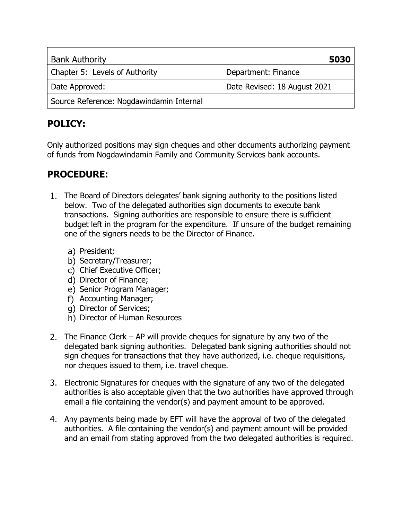| <b>Bank Authority</b>                    | 5030                         |
|------------------------------------------|------------------------------|
| Chapter 5: Levels of Authority           | Department: Finance          |
| Date Approved:                           | Date Revised: 18 August 2021 |
| Source Reference: Nogdawindamin Internal |                              |

## **POLICY:**

Only authorized positions may sign cheques and other documents authorizing payment of funds from Nogdawindamin Family and Community Services bank accounts.

## **PROCEDURE:**

- 1. The Board of Directors delegates' bank signing authority to the positions listed below. Two of the delegated authorities sign documents to execute bank transactions. Signing authorities are responsible to ensure there is sufficient budget left in the program for the expenditure. If unsure of the budget remaining one of the signers needs to be the Director of Finance.
	- a) President;
	- b) Secretary/Treasurer;
	- c) Chief Executive Officer;
	- d) Director of Finance;
	- e) Senior Program Manager;
	- f) Accounting Manager;
	- Director of Services;
	- h) Director of Human Resources
- The Finance Clerk AP will provide cheques for signature by any two of the delegated bank signing authorities. Delegated bank signing authorities should not sign cheques for transactions that they have authorized, i.e. cheque requisitions, nor cheques issued to them, i.e. travel cheque.
- Electronic Signatures for cheques with the signature of any two of the delegated authorities is also acceptable given that the two authorities have approved through email a file containing the vendor(s) and payment amount to be approved.
- Any payments being made by EFT will have the approval of two of the delegated authorities. A file containing the vendor(s) and payment amount will be provided and an email from stating approved from the two delegated authorities is required.